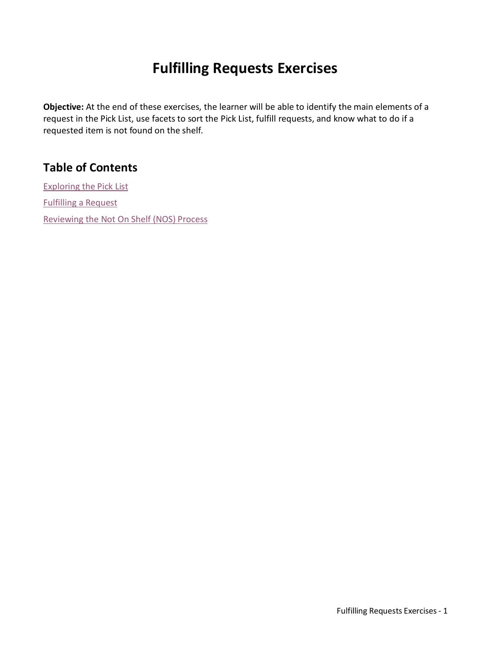# **Fulfilling Requests Exercises**

**Objective:** At the end of these exercises, the learner will be able to identify the main elements of a request in the Pick List, use facets to sort the Pick List, fulfill requests, and know what to do if a requested item is not found on the shelf.

### **Table of Contents**

[Exploring the Pick List](#page-1-0) [Fulfilling a Request](#page-2-0) [Reviewing the Not On Shelf \(NOS\) Process](#page-3-0)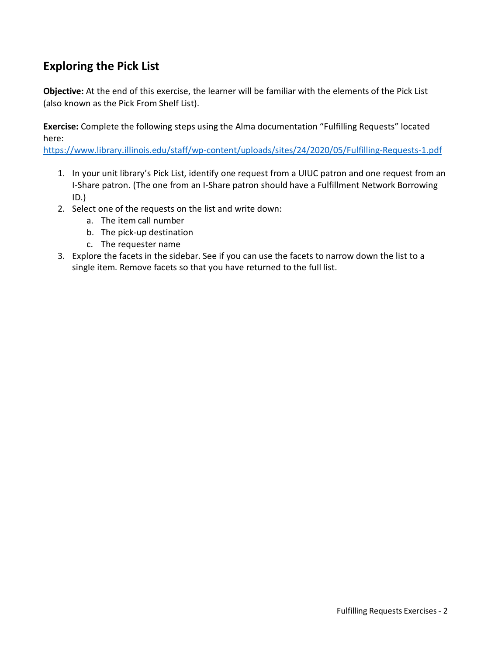#### <span id="page-1-0"></span>**Exploring the Pick List**

**Objective:** At the end of this exercise, the learner will be familiar with the elements of the Pick List (also known as the Pick From Shelf List).

**Exercise:** Complete the following steps using the Alma documentation "Fulfilling Requests" located here:

<https://www.library.illinois.edu/staff/wp-content/uploads/sites/24/2020/05/Fulfilling-Requests-1.pdf>

- 1. In your unit library's Pick List, identify one request from a UIUC patron and one request from an I-Share patron. (The one from an I-Share patron should have a Fulfillment Network Borrowing ID.)
- 2. Select one of the requests on the list and write down:
	- a. The item call number
	- b. The pick-up destination
	- c. The requester name
- 3. Explore the facets in the sidebar. See if you can use the facets to narrow down the list to a single item. Remove facets so that you have returned to the full list.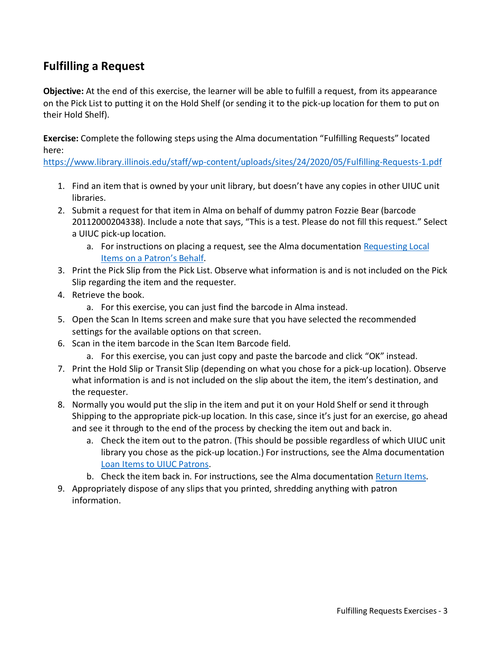### <span id="page-2-0"></span>**Fulfilling a Request**

**Objective:** At the end of this exercise, the learner will be able to fulfill a request, from its appearance on the Pick List to putting it on the Hold Shelf (or sending it to the pick-up location for them to put on their Hold Shelf).

**Exercise:** Complete the following steps using the Alma documentation "Fulfilling Requests" located here:

<https://www.library.illinois.edu/staff/wp-content/uploads/sites/24/2020/05/Fulfilling-Requests-1.pdf>

- 1. Find an item that is owned by your unit library, but doesn't have any copies in other UIUC unit libraries.
- 2. Submit a request for that item in Alma on behalf of dummy patron Fozzie Bear (barcode 20112000204338). Include a note that says, "This is a test. Please do not fill this request." Select a UIUC pick-up location.
	- a. For instructions on placing a request, see the Alma documentation [Requesting Local](https://www.library.illinois.edu/staff/wp-content/uploads/sites/24/2020/04/Requesting-Local-Items-on-a-Patron%E2%80%99s-Behalf.pdf)  [Items on a Patron's Behalf.](https://www.library.illinois.edu/staff/wp-content/uploads/sites/24/2020/04/Requesting-Local-Items-on-a-Patron%E2%80%99s-Behalf.pdf)
- 3. Print the Pick Slip from the Pick List. Observe what information is and is not included on the Pick Slip regarding the item and the requester.
- 4. Retrieve the book.
	- a. For this exercise, you can just find the barcode in Alma instead.
- 5. Open the Scan In Items screen and make sure that you have selected the recommended settings for the available options on that screen.
- 6. Scan in the item barcode in the Scan Item Barcode field.
	- a. For this exercise, you can just copy and paste the barcode and click "OK" instead.
- 7. Print the Hold Slip or Transit Slip (depending on what you chose for a pick-up location). Observe what information is and is not included on the slip about the item, the item's destination, and the requester.
- 8. Normally you would put the slip in the item and put it on your Hold Shelf or send it through Shipping to the appropriate pick-up location. In this case, since it's just for an exercise, go ahead and see it through to the end of the process by checking the item out and back in.
	- a. Check the item out to the patron. (This should be possible regardless of which UIUC unit library you chose as the pick-up location.) For instructions, see the Alma documentation [Loan Items to UIUC Patrons.](https://www.library.illinois.edu/staff/wp-content/uploads/sites/24/2020/04/Loan-Items.pdf)
	- b. Check the item back in. For instructions, see the Alma documentation [Return Items.](https://www.library.illinois.edu/staff/wp-content/uploads/sites/24/2020/04/Return-Items.pdf)
- 9. Appropriately dispose of any slips that you printed, shredding anything with patron information.